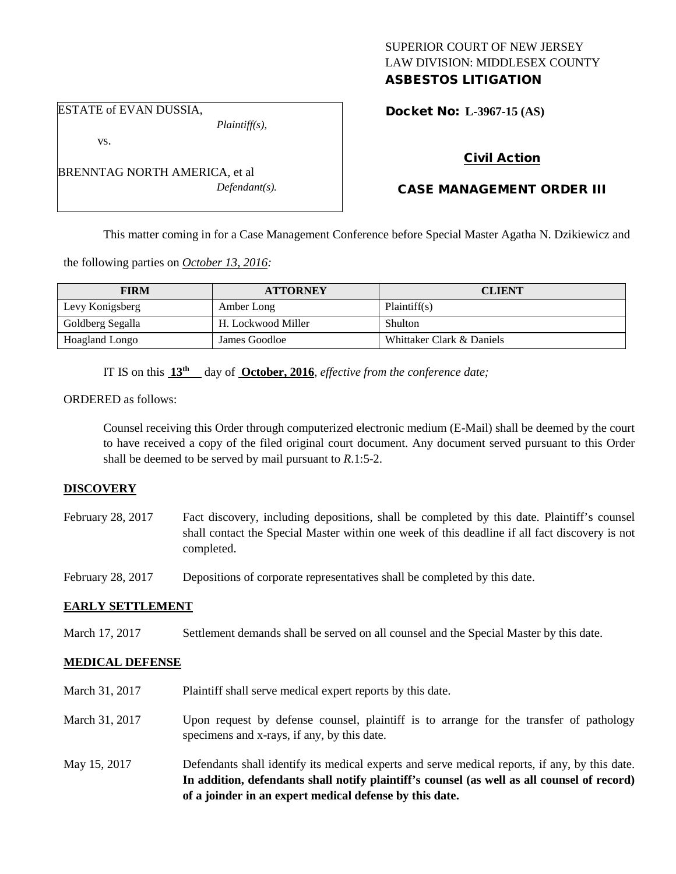# SUPERIOR COURT OF NEW JERSEY LAW DIVISION: MIDDLESEX COUNTY ASBESTOS LITIGATION

Docket No: **L-3967-15 (AS)** 

## vs.

ESTATE of EVAN DUSSIA,

BRENNTAG NORTH AMERICA, et al *Defendant(s).*

*Plaintiff(s),*

# Civil Action

# CASE MANAGEMENT ORDER III

This matter coming in for a Case Management Conference before Special Master Agatha N. Dzikiewicz and

the following parties on *October 13, 2016:*

| <b>FIRM</b>      | <b>ATTORNEY</b>    | <b>CLIENT</b>             |
|------------------|--------------------|---------------------------|
| Levy Konigsberg  | Amber Long         | Plaintiff(s)              |
| Goldberg Segalla | H. Lockwood Miller | Shulton                   |
| Hoagland Longo   | James Goodloe      | Whittaker Clark & Daniels |

IT IS on this **13th** day of **October, 2016**, *effective from the conference date;*

ORDERED as follows:

Counsel receiving this Order through computerized electronic medium (E-Mail) shall be deemed by the court to have received a copy of the filed original court document. Any document served pursuant to this Order shall be deemed to be served by mail pursuant to *R*.1:5-2.

# **DISCOVERY**

February 28, 2017 Fact discovery, including depositions, shall be completed by this date. Plaintiff's counsel shall contact the Special Master within one week of this deadline if all fact discovery is not completed.

February 28, 2017 Depositions of corporate representatives shall be completed by this date.

## **EARLY SETTLEMENT**

March 17, 2017 Settlement demands shall be served on all counsel and the Special Master by this date.

## **MEDICAL DEFENSE**

- March 31, 2017 Plaintiff shall serve medical expert reports by this date.
- March 31, 2017 Upon request by defense counsel, plaintiff is to arrange for the transfer of pathology specimens and x-rays, if any, by this date.
- May 15, 2017 Defendants shall identify its medical experts and serve medical reports, if any, by this date. **In addition, defendants shall notify plaintiff's counsel (as well as all counsel of record) of a joinder in an expert medical defense by this date.**